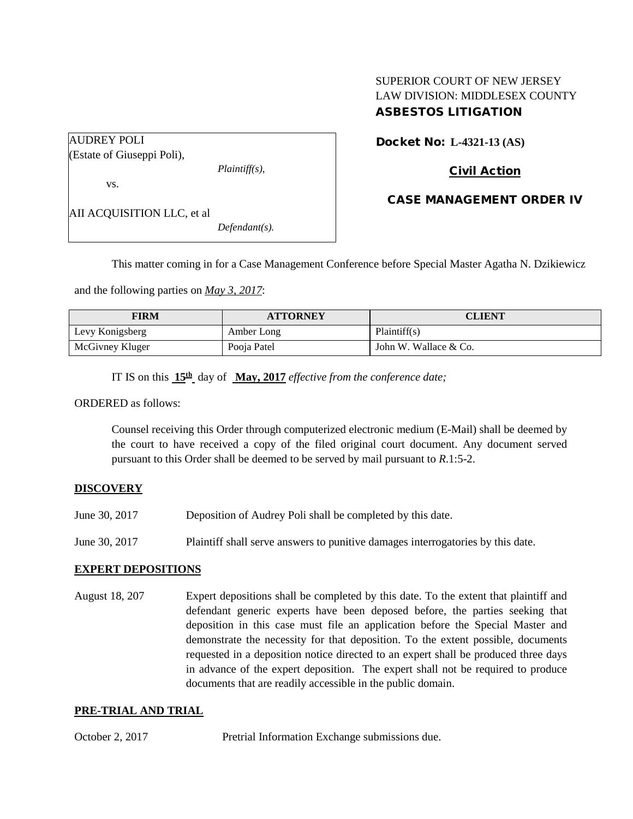# SUPERIOR COURT OF NEW JERSEY LAW DIVISION: MIDDLESEX COUNTY ASBESTOS LITIGATION

AUDREY POLI (Estate of Giuseppi Poli),

*Plaintiff(s),*

vs.

AII ACQUISITION LLC, et al

*Defendant(s).*

Docket No: **L-4321-13 (AS)** 

# Civil Action

## CASE MANAGEMENT ORDER IV

This matter coming in for a Case Management Conference before Special Master Agatha N. Dzikiewicz

and the following parties on *May 3, 2017*:

| FIRM            | <b>ATTORNEY</b> | CLIENT                |
|-----------------|-----------------|-----------------------|
| Levy Konigsberg | Amber Long      | Plaintiff(s)          |
| McGivney Kluger | Pooja Patel     | John W. Wallace & Co. |

IT IS on this **15th** day of **May, 2017** *effective from the conference date;*

#### ORDERED as follows:

Counsel receiving this Order through computerized electronic medium (E-Mail) shall be deemed by the court to have received a copy of the filed original court document. Any document served pursuant to this Order shall be deemed to be served by mail pursuant to *R*.1:5-2.

## **DISCOVERY**

- June 30, 2017 Deposition of Audrey Poli shall be completed by this date.
- June 30, 2017 Plaintiff shall serve answers to punitive damages interrogatories by this date.

#### **EXPERT DEPOSITIONS**

August 18, 207 Expert depositions shall be completed by this date. To the extent that plaintiff and defendant generic experts have been deposed before, the parties seeking that deposition in this case must file an application before the Special Master and demonstrate the necessity for that deposition. To the extent possible, documents requested in a deposition notice directed to an expert shall be produced three days in advance of the expert deposition. The expert shall not be required to produce documents that are readily accessible in the public domain.

## **PRE-TRIAL AND TRIAL**

October 2, 2017 Pretrial Information Exchange submissions due.